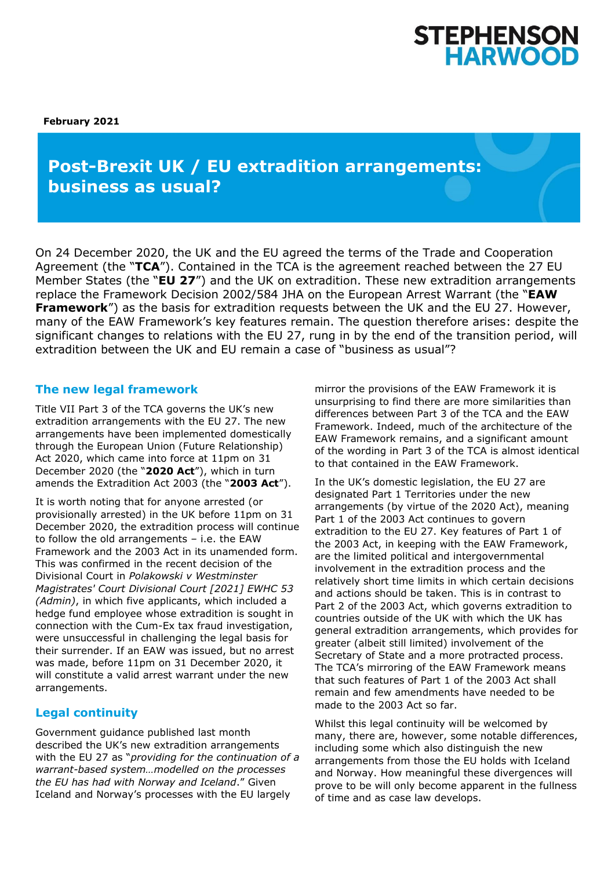# STEPHENSON<br>HARWOOD

**February 2021**

# **Post-Brexit UK / EU extradition arrangements: business as usual?**

On 24 December 2020, the UK and the EU agreed the terms of the Trade and Cooperation Agreement (the "**TCA**"). Contained in the TCA is the agreement reached between the 27 EU Member States (the "**EU 27**") and the UK on extradition. These new extradition arrangements replace the Framework Decision 2002/584 JHA on the European Arrest Warrant (the "**EAW Framework**") as the basis for extradition requests between the UK and the EU 27. However, many of the EAW Framework's key features remain. The question therefore arises: despite the significant changes to relations with the EU 27, rung in by the end of the transition period, will extradition between the UK and EU remain a case of "business as usual"?

## **The new legal framework**

Title VII Part 3 of the TCA governs the UK's new extradition arrangements with the EU 27. The new arrangements have been implemented domestically through the European Union (Future Relationship) Act 2020, which came into force at 11pm on 31 December 2020 (the "**2020 Act**"), which in turn amends the Extradition Act 2003 (the "**2003 Act**").

It is worth noting that for anyone arrested (or provisionally arrested) in the UK before 11pm on 31 December 2020, the extradition process will continue to follow the old arrangements – i.e. the EAW Framework and the 2003 Act in its unamended form. This was confirmed in the recent decision of the Divisional Court in *Polakowski v Westminster Magistrates' Court Divisional Court [2021] EWHC 53 (Admin)*, in which five applicants, which included a hedge fund employee whose extradition is sought in connection with the Cum-Ex tax fraud investigation, were unsuccessful in challenging the legal basis for their surrender. If an EAW was issued, but no arrest was made, before 11pm on 31 December 2020, it will constitute a valid arrest warrant under the new arrangements.

# **Legal continuity**

Government guidance published last month described the UK's new extradition arrangements with the EU 27 as "*providing for the continuation of a warrant-based system…modelled on the processes the EU has had with Norway and Iceland*." Given Iceland and Norway's processes with the EU largely

mirror the provisions of the EAW Framework it is unsurprising to find there are more similarities than differences between Part 3 of the TCA and the EAW Framework. Indeed, much of the architecture of the EAW Framework remains, and a significant amount of the wording in Part 3 of the TCA is almost identical to that contained in the EAW Framework.

In the UK's domestic legislation, the EU 27 are designated Part 1 Territories under the new arrangements (by virtue of the 2020 Act), meaning Part 1 of the 2003 Act continues to govern extradition to the EU 27. Key features of Part 1 of the 2003 Act, in keeping with the EAW Framework, are the limited political and intergovernmental involvement in the extradition process and the relatively short time limits in which certain decisions and actions should be taken. This is in contrast to Part 2 of the 2003 Act, which governs extradition to countries outside of the UK with which the UK has general extradition arrangements, which provides for greater (albeit still limited) involvement of the Secretary of State and a more protracted process. The TCA's mirroring of the EAW Framework means that such features of Part 1 of the 2003 Act shall remain and few amendments have needed to be made to the 2003 Act so far.

Whilst this legal continuity will be welcomed by many, there are, however, some notable differences, including some which also distinguish the new arrangements from those the EU holds with Iceland and Norway. How meaningful these divergences will prove to be will only become apparent in the fullness of time and as case law develops.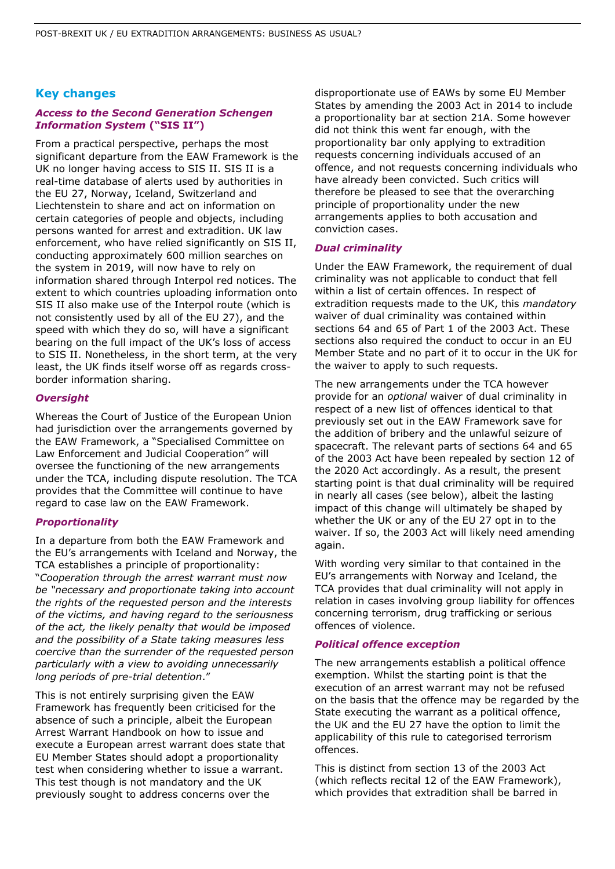#### **Key changes**

#### *Access to the Second Generation Schengen Information System* **("SIS II")**

From a practical perspective, perhaps the most significant departure from the EAW Framework is the UK no longer having access to SIS II. SIS II is a real-time database of alerts used by authorities in the EU 27, Norway, Iceland, Switzerland and Liechtenstein to share and act on information on certain categories of people and objects, including persons wanted for arrest and extradition. UK law enforcement, who have relied significantly on SIS II, conducting approximately 600 million searches on the system in 2019, will now have to rely on information shared through Interpol red notices. The extent to which countries uploading information onto SIS II also make use of the Interpol route (which is not consistently used by all of the EU 27), and the speed with which they do so, will have a significant bearing on the full impact of the UK's loss of access to SIS II. Nonetheless, in the short term, at the very least, the UK finds itself worse off as regards crossborder information sharing.

#### *Oversight*

Whereas the Court of Justice of the European Union had jurisdiction over the arrangements governed by the EAW Framework, a "Specialised Committee on Law Enforcement and Judicial Cooperation" will oversee the functioning of the new arrangements under the TCA, including dispute resolution. The TCA provides that the Committee will continue to have regard to case law on the EAW Framework.

#### *Proportionality*

In a departure from both the EAW Framework and the EU's arrangements with Iceland and Norway, the TCA establishes a principle of proportionality: "*Cooperation through the arrest warrant must now be "necessary and proportionate taking into account the rights of the requested person and the interests of the victims, and having regard to the seriousness of the act, the likely penalty that would be imposed and the possibility of a State taking measures less coercive than the surrender of the requested person particularly with a view to avoiding unnecessarily long periods of pre-trial detention*."

This is not entirely surprising given the EAW Framework has frequently been criticised for the absence of such a principle, albeit the European Arrest Warrant Handbook on how to issue and execute a European arrest warrant does state that EU Member States should adopt a proportionality test when considering whether to issue a warrant. This test though is not mandatory and the UK previously sought to address concerns over the

disproportionate use of EAWs by some EU Member States by amending the 2003 Act in 2014 to include a proportionality bar at section 21A. Some however did not think this went far enough, with the proportionality bar only applying to extradition requests concerning individuals accused of an offence, and not requests concerning individuals who have already been convicted. Such critics will therefore be pleased to see that the overarching principle of proportionality under the new arrangements applies to both accusation and conviction cases.

#### *Dual criminality*

Under the EAW Framework, the requirement of dual criminality was not applicable to conduct that fell within a list of certain offences. In respect of extradition requests made to the UK, this *mandatory*  waiver of dual criminality was contained within sections 64 and 65 of Part 1 of the 2003 Act. These sections also required the conduct to occur in an EU Member State and no part of it to occur in the UK for the waiver to apply to such requests.

The new arrangements under the TCA however provide for an *optional* waiver of dual criminality in respect of a new list of offences identical to that previously set out in the EAW Framework save for the addition of bribery and the unlawful seizure of spacecraft. The relevant parts of sections 64 and 65 of the 2003 Act have been repealed by section 12 of the 2020 Act accordingly. As a result, the present starting point is that dual criminality will be required in nearly all cases (see below), albeit the lasting impact of this change will ultimately be shaped by whether the UK or any of the EU 27 opt in to the waiver. If so, the 2003 Act will likely need amending again.

With wording very similar to that contained in the EU's arrangements with Norway and Iceland, the TCA provides that dual criminality will not apply in relation in cases involving group liability for offences concerning terrorism, drug trafficking or serious offences of violence.

#### *Political offence exception*

The new arrangements establish a political offence exemption. Whilst the starting point is that the execution of an arrest warrant may not be refused on the basis that the offence may be regarded by the State executing the warrant as a political offence, the UK and the EU 27 have the option to limit the applicability of this rule to categorised terrorism offences.

This is distinct from section 13 of the 2003 Act (which reflects recital 12 of the EAW Framework), which provides that extradition shall be barred in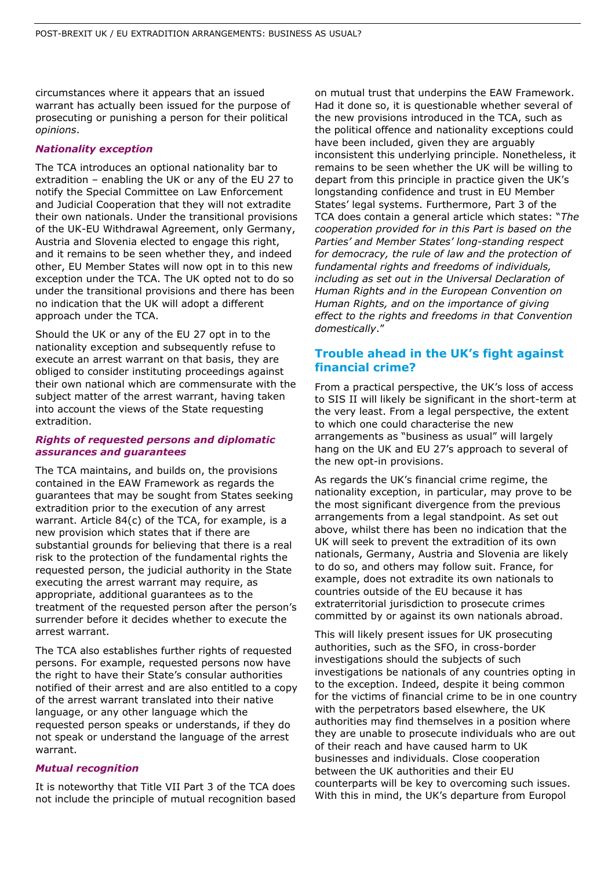circumstances where it appears that an issued warrant has actually been issued for the purpose of prosecuting or punishing a person for their political *opinions*.

#### *Nationality exception*

The TCA introduces an optional nationality bar to extradition – enabling the UK or any of the EU 27 to notify the Special Committee on Law Enforcement and Judicial Cooperation that they will not extradite their own nationals. Under the transitional provisions of the UK-EU Withdrawal Agreement, only Germany, Austria and Slovenia elected to engage this right, and it remains to be seen whether they, and indeed other, EU Member States will now opt in to this new exception under the TCA. The UK opted not to do so under the transitional provisions and there has been no indication that the UK will adopt a different approach under the TCA.

Should the UK or any of the EU 27 opt in to the nationality exception and subsequently refuse to execute an arrest warrant on that basis, they are obliged to consider instituting proceedings against their own national which are commensurate with the subject matter of the arrest warrant, having taken into account the views of the State requesting extradition.

#### *Rights of requested persons and diplomatic assurances and guarantees*

The TCA maintains, and builds on, the provisions contained in the EAW Framework as regards the guarantees that may be sought from States seeking extradition prior to the execution of any arrest warrant. Article 84(c) of the TCA, for example, is a new provision which states that if there are substantial grounds for believing that there is a real risk to the protection of the fundamental rights the requested person, the judicial authority in the State executing the arrest warrant may require, as appropriate, additional guarantees as to the treatment of the requested person after the person's surrender before it decides whether to execute the arrest warrant.

The TCA also establishes further rights of requested persons. For example, requested persons now have the right to have their State's consular authorities notified of their arrest and are also entitled to a copy of the arrest warrant translated into their native language, or any other language which the requested person speaks or understands, if they do not speak or understand the language of the arrest warrant.

#### *Mutual recognition*

It is noteworthy that Title VII Part 3 of the TCA does not include the principle of mutual recognition based on mutual trust that underpins the EAW Framework. Had it done so, it is questionable whether several of the new provisions introduced in the TCA, such as the political offence and nationality exceptions could have been included, given they are arguably inconsistent this underlying principle. Nonetheless, it remains to be seen whether the UK will be willing to depart from this principle in practice given the UK's longstanding confidence and trust in EU Member States' legal systems. Furthermore, Part 3 of the TCA does contain a general article which states: "*The cooperation provided for in this Part is based on the Parties' and Member States' long-standing respect for democracy, the rule of law and the protection of fundamental rights and freedoms of individuals, including as set out in the Universal Declaration of Human Rights and in the European Convention on Human Rights, and on the importance of giving effect to the rights and freedoms in that Convention domestically*."

### **Trouble ahead in the UK's fight against financial crime?**

From a practical perspective, the UK's loss of access to SIS II will likely be significant in the short-term at the very least. From a legal perspective, the extent to which one could characterise the new arrangements as "business as usual" will largely hang on the UK and EU 27's approach to several of the new opt-in provisions.

As regards the UK's financial crime regime, the nationality exception, in particular, may prove to be the most significant divergence from the previous arrangements from a legal standpoint. As set out above, whilst there has been no indication that the UK will seek to prevent the extradition of its own nationals, Germany, Austria and Slovenia are likely to do so, and others may follow suit. France, for example, does not extradite its own nationals to countries outside of the EU because it has extraterritorial jurisdiction to prosecute crimes committed by or against its own nationals abroad.

This will likely present issues for UK prosecuting authorities, such as the SFO, in cross-border investigations should the subjects of such investigations be nationals of any countries opting in to the exception. Indeed, despite it being common for the victims of financial crime to be in one country with the perpetrators based elsewhere, the UK authorities may find themselves in a position where they are unable to prosecute individuals who are out of their reach and have caused harm to UK businesses and individuals. Close cooperation between the UK authorities and their EU counterparts will be key to overcoming such issues. With this in mind, the UK's departure from Europol